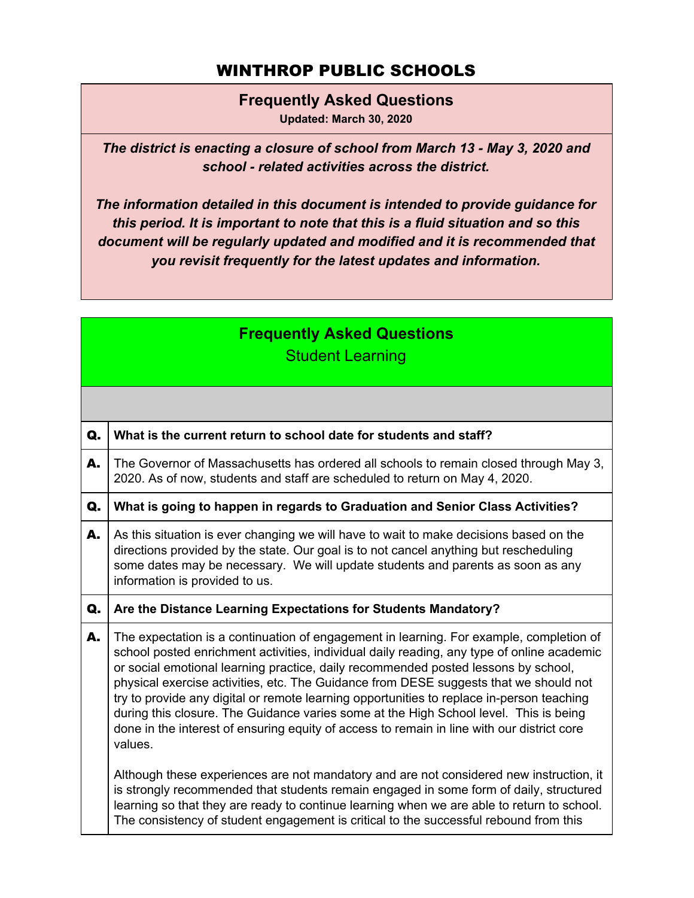### WINTHROP PUBLIC SCHOOLS

### <span id="page-0-0"></span>**Frequently Asked Questions**

**Updated: March 30, 2020**

*The district is enacting a closure of school from March 13 - May 3, 2020 and school - related activities across the district.*

*The information detailed in this document is intended to provide guidance for this period. It is important to note that this is a fluid situation and so this document will be regularly updated and modified and it is recommended that you revisit frequently for the latest updates and information.*

## **Frequently Asked Questions** Student Learning Q. **What is the current return to school date for students and staff?** A. The Governor of Massachusetts has ordered all schools to remain closed through May 3, 2020. As of now, students and staff are scheduled to return on May 4, 2020. Q. **What is going to happen in regards to Graduation and Senior Class Activities? A.**  $\vert$  As this situation is ever changing we will have to wait to make decisions based on the directions provided by the state. Our goal is to not cancel anything but rescheduling some dates may be necessary. We will update students and parents as soon as any information is provided to us. Q. **Are the Distance Learning Expectations for Students Mandatory?** A. The expectation is a continuation of engagement in learning. For example, completion of school posted enrichment activities, individual daily reading, any type of online academic or social emotional learning practice, daily recommended posted lessons by school, physical exercise activities, etc. The Guidance from DESE suggests that we should not try to provide any digital or remote learning opportunities to replace in-person teaching during this closure. The Guidance varies some at the High School level. This is being done in the interest of ensuring equity of access to remain in line with our district core values. Although these experiences are not mandatory and are not considered new instruction, it is strongly recommended that students remain engaged in some form of daily, structured learning so that they are ready to continue learning when we are able to return to school. The consistency of student engagement is critical to the successful rebound from this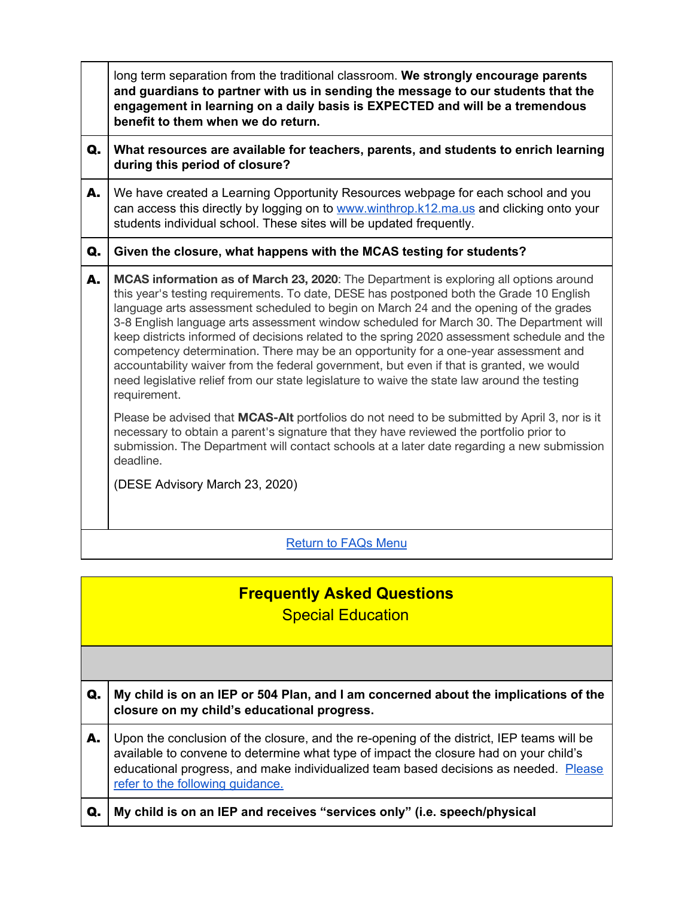|    | long term separation from the traditional classroom. We strongly encourage parents<br>and guardians to partner with us in sending the message to our students that the<br>engagement in learning on a daily basis is EXPECTED and will be a tremendous<br>benefit to them when we do return.                                                                                                                                                                                                                                                                                                                                                                                                                                                                           |
|----|------------------------------------------------------------------------------------------------------------------------------------------------------------------------------------------------------------------------------------------------------------------------------------------------------------------------------------------------------------------------------------------------------------------------------------------------------------------------------------------------------------------------------------------------------------------------------------------------------------------------------------------------------------------------------------------------------------------------------------------------------------------------|
| Q. | What resources are available for teachers, parents, and students to enrich learning<br>during this period of closure?                                                                                                                                                                                                                                                                                                                                                                                                                                                                                                                                                                                                                                                  |
| А. | We have created a Learning Opportunity Resources webpage for each school and you<br>can access this directly by logging on to www.winthrop.k12.ma.us and clicking onto your<br>students individual school. These sites will be updated frequently.                                                                                                                                                                                                                                                                                                                                                                                                                                                                                                                     |
| Q. | Given the closure, what happens with the MCAS testing for students?                                                                                                                                                                                                                                                                                                                                                                                                                                                                                                                                                                                                                                                                                                    |
| А. | MCAS information as of March 23, 2020: The Department is exploring all options around<br>this year's testing requirements. To date, DESE has postponed both the Grade 10 English<br>language arts assessment scheduled to begin on March 24 and the opening of the grades<br>3-8 English language arts assessment window scheduled for March 30. The Department will<br>keep districts informed of decisions related to the spring 2020 assessment schedule and the<br>competency determination. There may be an opportunity for a one-year assessment and<br>accountability waiver from the federal government, but even if that is granted, we would<br>need legislative relief from our state legislature to waive the state law around the testing<br>requirement. |
|    | Please be advised that MCAS-Alt portfolios do not need to be submitted by April 3, nor is it<br>necessary to obtain a parent's signature that they have reviewed the portfolio prior to<br>submission. The Department will contact schools at a later date regarding a new submission<br>deadline.                                                                                                                                                                                                                                                                                                                                                                                                                                                                     |
|    | (DESE Advisory March 23, 2020)                                                                                                                                                                                                                                                                                                                                                                                                                                                                                                                                                                                                                                                                                                                                         |
|    | <b>Return to FAQs Menu</b>                                                                                                                                                                                                                                                                                                                                                                                                                                                                                                                                                                                                                                                                                                                                             |

|    | <b>Frequently Asked Questions</b><br><b>Special Education</b>                                                                                                                                                                                                                                                  |
|----|----------------------------------------------------------------------------------------------------------------------------------------------------------------------------------------------------------------------------------------------------------------------------------------------------------------|
|    |                                                                                                                                                                                                                                                                                                                |
| Q. | My child is on an IEP or 504 Plan, and I am concerned about the implications of the<br>closure on my child's educational progress.                                                                                                                                                                             |
| А. | Upon the conclusion of the closure, and the re-opening of the district, IEP teams will be<br>available to convene to determine what type of impact the closure had on your child's<br>educational progress, and make individualized team based decisions as needed. Please<br>refer to the following guidance. |
| Q. | My child is on an IEP and receives "services only" (i.e. speech/physical                                                                                                                                                                                                                                       |

 $\mathsf{I}$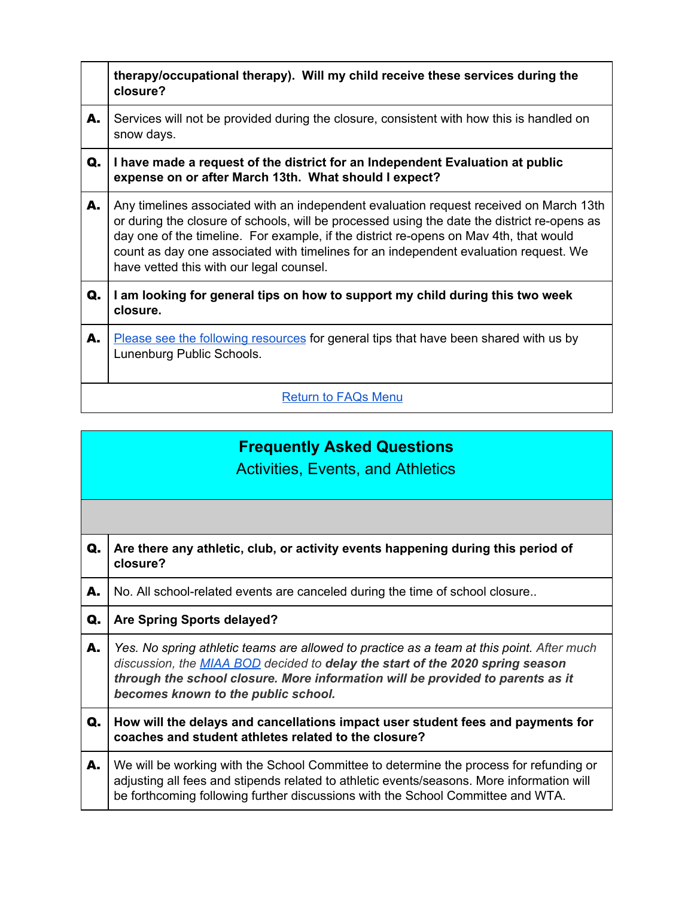|    | therapy/occupational therapy). Will my child receive these services during the<br>closure?                                                                                                                                                                                                                                                                                                                         |
|----|--------------------------------------------------------------------------------------------------------------------------------------------------------------------------------------------------------------------------------------------------------------------------------------------------------------------------------------------------------------------------------------------------------------------|
| А. | Services will not be provided during the closure, consistent with how this is handled on<br>snow days.                                                                                                                                                                                                                                                                                                             |
| Q. | I have made a request of the district for an Independent Evaluation at public<br>expense on or after March 13th. What should I expect?                                                                                                                                                                                                                                                                             |
| А. | Any timelines associated with an independent evaluation request received on March 13th<br>or during the closure of schools, will be processed using the date the district re-opens as<br>day one of the timeline. For example, if the district re-opens on May 4th, that would<br>count as day one associated with timelines for an independent evaluation request. We<br>have vetted this with our legal counsel. |
| Q. | I am looking for general tips on how to support my child during this two week<br>closure.                                                                                                                                                                                                                                                                                                                          |
| А. | Please see the following resources for general tips that have been shared with us by<br>Lunenburg Public Schools.                                                                                                                                                                                                                                                                                                  |
|    | <b>Return to FAQs Menu</b>                                                                                                                                                                                                                                                                                                                                                                                         |

# **Frequently Asked Questions**

Activities, Events, and Athletics

| Q. | Are there any athletic, club, or activity events happening during this period of<br>closure?                                                                                                                                                                                                               |
|----|------------------------------------------------------------------------------------------------------------------------------------------------------------------------------------------------------------------------------------------------------------------------------------------------------------|
| А. | No. All school-related events are canceled during the time of school closure                                                                                                                                                                                                                               |
| Q. | Are Spring Sports delayed?                                                                                                                                                                                                                                                                                 |
| А. | Yes. No spring athletic teams are allowed to practice as a team at this point. After much<br>discussion, the <b>MIAA BOD</b> decided to delay the start of the 2020 spring season<br>through the school closure. More information will be provided to parents as it<br>becomes known to the public school. |
| Q. | How will the delays and cancellations impact user student fees and payments for<br>coaches and student athletes related to the closure?                                                                                                                                                                    |
| A. | We will be working with the School Committee to determine the process for refunding or<br>adjusting all fees and stipends related to athletic events/seasons. More information will<br>be forthcoming following further discussions with the School Committee and WTA.                                     |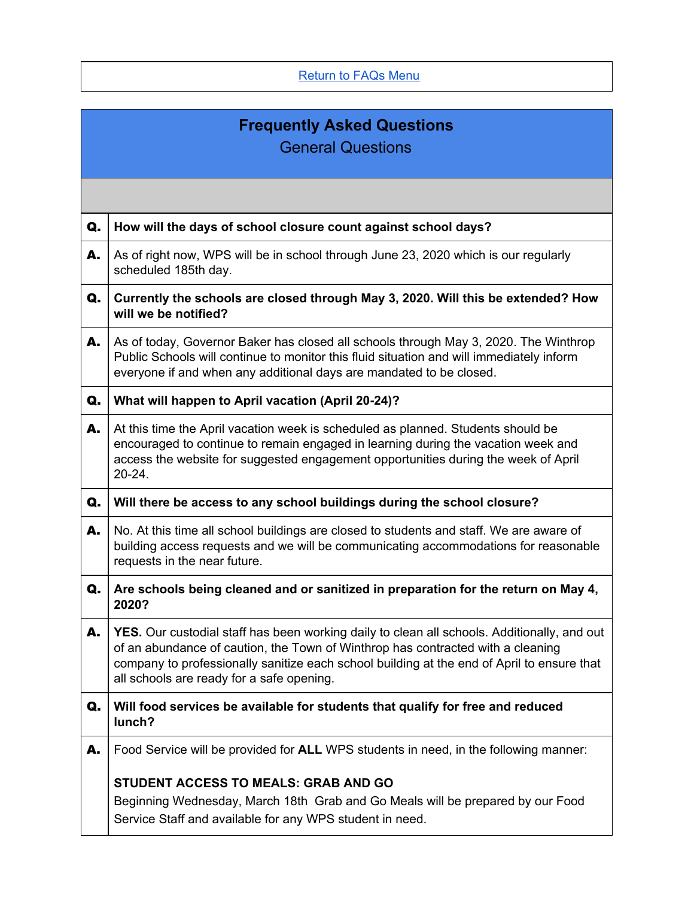[Return](#page-0-0) to FAQs Menu

### **Frequently Asked Questions** General Questions

| Q. | How will the days of school closure count against school days?                                                                                                                                                                                                                                                                   |
|----|----------------------------------------------------------------------------------------------------------------------------------------------------------------------------------------------------------------------------------------------------------------------------------------------------------------------------------|
| А. | As of right now, WPS will be in school through June 23, 2020 which is our regularly<br>scheduled 185th day.                                                                                                                                                                                                                      |
| Q. | Currently the schools are closed through May 3, 2020. Will this be extended? How<br>will we be notified?                                                                                                                                                                                                                         |
| А. | As of today, Governor Baker has closed all schools through May 3, 2020. The Winthrop<br>Public Schools will continue to monitor this fluid situation and will immediately inform<br>everyone if and when any additional days are mandated to be closed.                                                                          |
| Q. | What will happen to April vacation (April 20-24)?                                                                                                                                                                                                                                                                                |
| А. | At this time the April vacation week is scheduled as planned. Students should be<br>encouraged to continue to remain engaged in learning during the vacation week and<br>access the website for suggested engagement opportunities during the week of April<br>$20 - 24.$                                                        |
| Q. | Will there be access to any school buildings during the school closure?                                                                                                                                                                                                                                                          |
| А. | No. At this time all school buildings are closed to students and staff. We are aware of<br>building access requests and we will be communicating accommodations for reasonable<br>requests in the near future.                                                                                                                   |
| Q. | Are schools being cleaned and or sanitized in preparation for the return on May 4,<br>2020?                                                                                                                                                                                                                                      |
| А. | <b>YES.</b> Our custodial staff has been working daily to clean all schools. Additionally, and out<br>of an abundance of caution, the Town of Winthrop has contracted with a cleaning<br>company to professionally sanitize each school building at the end of April to ensure that<br>all schools are ready for a safe opening. |
| Q. | Will food services be available for students that qualify for free and reduced<br>lunch?                                                                                                                                                                                                                                         |
| А. | Food Service will be provided for ALL WPS students in need, in the following manner:                                                                                                                                                                                                                                             |
|    | <b>STUDENT ACCESS TO MEALS: GRAB AND GO</b><br>Beginning Wednesday, March 18th Grab and Go Meals will be prepared by our Food<br>Service Staff and available for any WPS student in need.                                                                                                                                        |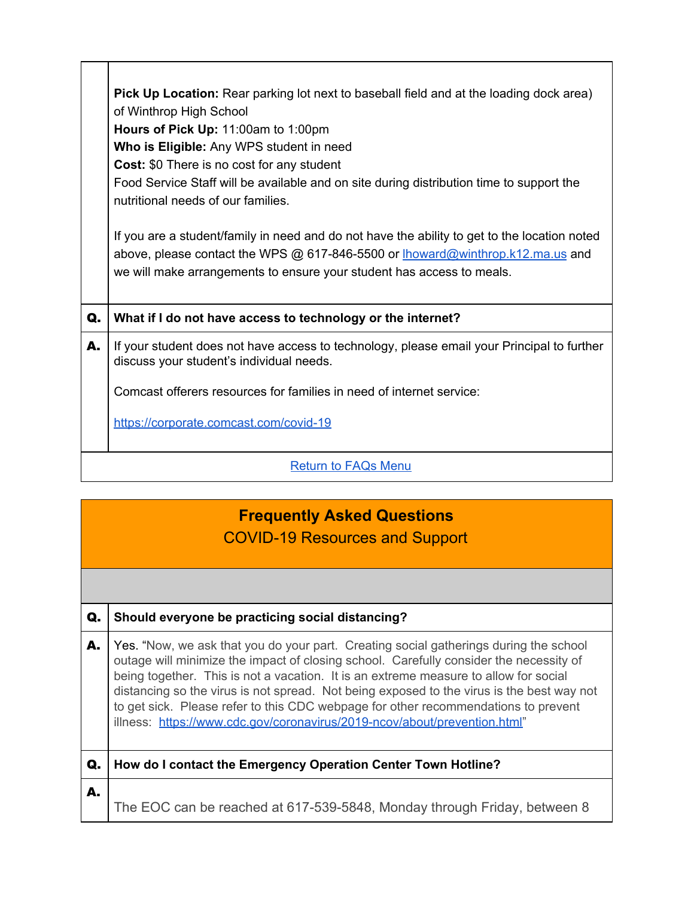|    | <b>Pick Up Location:</b> Rear parking lot next to baseball field and at the loading dock area)                                                                                                                                                          |
|----|---------------------------------------------------------------------------------------------------------------------------------------------------------------------------------------------------------------------------------------------------------|
|    | of Winthrop High School                                                                                                                                                                                                                                 |
|    | Hours of Pick Up: 11:00am to 1:00pm                                                                                                                                                                                                                     |
|    | Who is Eligible: Any WPS student in need                                                                                                                                                                                                                |
|    | <b>Cost:</b> \$0 There is no cost for any student                                                                                                                                                                                                       |
|    | Food Service Staff will be available and on site during distribution time to support the<br>nutritional needs of our families.                                                                                                                          |
|    | If you are a student/family in need and do not have the ability to get to the location noted<br>above, please contact the WPS @ 617-846-5500 or lhoward@winthrop.k12.ma.us and<br>we will make arrangements to ensure your student has access to meals. |
| Q. | What if I do not have access to technology or the internet?                                                                                                                                                                                             |
| А. | If your student does not have access to technology, please email your Principal to further<br>discuss your student's individual needs.                                                                                                                  |
|    | Comcast offerers resources for families in need of internet service:                                                                                                                                                                                    |
|    | https://corporate.comcast.com/covid-19                                                                                                                                                                                                                  |
|    |                                                                                                                                                                                                                                                         |
|    | <b>Return to FAQs Menu</b>                                                                                                                                                                                                                              |

 $\Gamma$ 

# **Frequently Asked Questions** COVID-19 Resources and Support

| Q. | Should everyone be practicing social distancing?                                                                                                                                                                                                                                                                                                                                                                                                                                                                                        |
|----|-----------------------------------------------------------------------------------------------------------------------------------------------------------------------------------------------------------------------------------------------------------------------------------------------------------------------------------------------------------------------------------------------------------------------------------------------------------------------------------------------------------------------------------------|
| А. | Yes. "Now, we ask that you do your part. Creating social gatherings during the school<br>outage will minimize the impact of closing school. Carefully consider the necessity of<br>being together. This is not a vacation. It is an extreme measure to allow for social<br>distancing so the virus is not spread. Not being exposed to the virus is the best way not<br>to get sick. Please refer to this CDC webpage for other recommendations to prevent<br>illness: https://www.cdc.gov/coronavirus/2019-ncov/about/prevention.html" |
| Q. | How do I contact the Emergency Operation Center Town Hotline?                                                                                                                                                                                                                                                                                                                                                                                                                                                                           |
| А. | The EOC can be reached at 617-539-5848, Monday through Friday, between 8                                                                                                                                                                                                                                                                                                                                                                                                                                                                |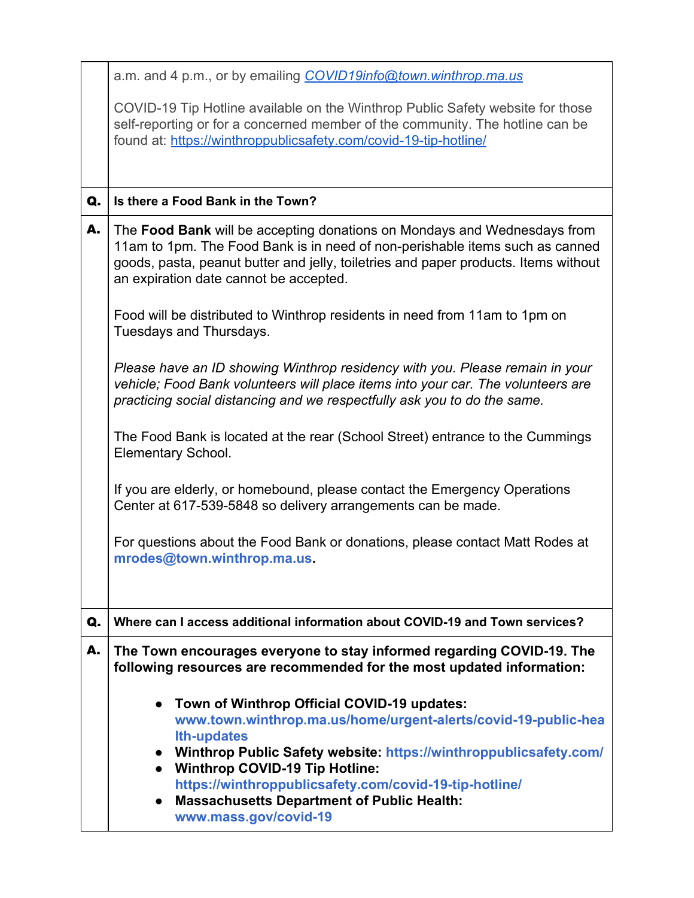|    | a.m. and 4 p.m., or by emailing <i>COVID19info@town.winthrop.ma.us</i>                                                                                                                                                                                                                    |
|----|-------------------------------------------------------------------------------------------------------------------------------------------------------------------------------------------------------------------------------------------------------------------------------------------|
|    | COVID-19 Tip Hotline available on the Winthrop Public Safety website for those<br>self-reporting or for a concerned member of the community. The hotline can be<br>found at: https://winthroppublicsafety.com/covid-19-tip-hotline/                                                       |
| Q. | Is there a Food Bank in the Town?                                                                                                                                                                                                                                                         |
|    |                                                                                                                                                                                                                                                                                           |
| А. | The Food Bank will be accepting donations on Mondays and Wednesdays from<br>11am to 1pm. The Food Bank is in need of non-perishable items such as canned<br>goods, pasta, peanut butter and jelly, toiletries and paper products. Items without<br>an expiration date cannot be accepted. |
|    | Food will be distributed to Winthrop residents in need from 11am to 1pm on<br>Tuesdays and Thursdays.                                                                                                                                                                                     |
|    | Please have an ID showing Winthrop residency with you. Please remain in your<br>vehicle; Food Bank volunteers will place items into your car. The volunteers are<br>practicing social distancing and we respectfully ask you to do the same.                                              |
|    | The Food Bank is located at the rear (School Street) entrance to the Cummings<br>Elementary School.                                                                                                                                                                                       |
|    | If you are elderly, or homebound, please contact the Emergency Operations<br>Center at 617-539-5848 so delivery arrangements can be made.                                                                                                                                                 |
|    | For questions about the Food Bank or donations, please contact Matt Rodes at<br>mrodes@town.winthrop.ma.us.                                                                                                                                                                               |
|    |                                                                                                                                                                                                                                                                                           |
| Q. | Where can I access additional information about COVID-19 and Town services?                                                                                                                                                                                                               |
| А. | The Town encourages everyone to stay informed regarding COVID-19. The<br>following resources are recommended for the most updated information:                                                                                                                                            |
|    | Town of Winthrop Official COVID-19 updates:                                                                                                                                                                                                                                               |
|    | www.town.winthrop.ma.us/home/urgent-alerts/covid-19-public-hea<br><b>Ith-updates</b>                                                                                                                                                                                                      |
|    | • Winthrop Public Safety website: https://winthroppublicsafety.com/<br>• Winthrop COVID-19 Tip Hotline:                                                                                                                                                                                   |
|    | https://winthroppublicsafety.com/covid-19-tip-hotline/<br><b>Massachusetts Department of Public Health:</b><br>$\bullet$                                                                                                                                                                  |
|    | www.mass.gov/covid-19                                                                                                                                                                                                                                                                     |